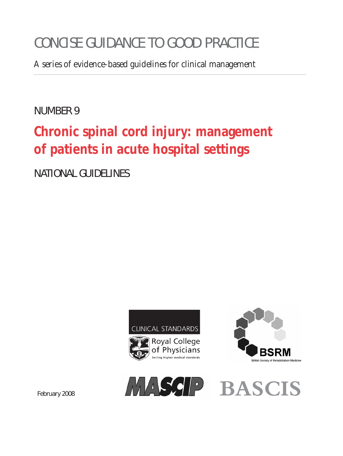# CONCISE GUIDANCE TO GOOD PRACTICE

A series of evidence-based guidelines for clinical management

# NUMBER 9

# **Chronic spinal cord injury: management of patients in acute hospital settings**

NATIONAL GUIDELINES





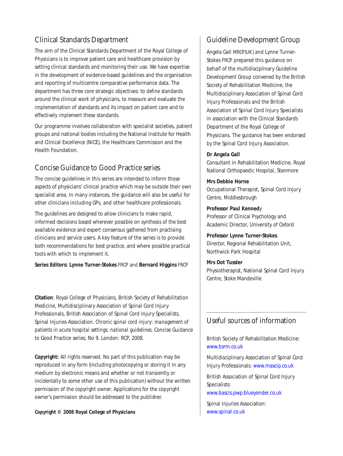### Clinical Standards Department

The aim of the Clinical Standards Department of the Royal College of Physicians is to improve patient care and healthcare provision by setting clinical standards and monitoring their use. We have expertise in the development of evidence-based guidelines and the organisation and reporting of multicentre comparative performance data. The department has three core strategic objectives: to *define* standards around the clinical work of physicians, to *measure* and evaluate the implementation of standards and its impact on patient care and to effectively *implement* these standards.

Our programme involves collaboration with specialist societies, patient groups and national bodies including the National Institute for Health and Clinical Excellence (NICE), the Healthcare Commission and the Health Foundation.

### Concise Guidance to Good Practice series

The concise guidelines in this series are intended to inform those aspects of physicians' clinical practice which may be outside their own specialist area. In many instances, the guidance will also be useful for other clinicians including GPs, and other healthcare professionals.

The guidelines are designed to allow clinicians to make rapid, informed decisions based wherever possible on synthesis of the best available evidence and expert consensus gathered from practising clinicians and service users. A key feature of the series is to provide both recommendations for best practice, and where possible practical tools with which to implement it.

**Series Editors: Lynne Turner-Stokes** FRCP and **Bernard Higgins** FRCP

**Citation**: Royal College of Physicians, British Society of Rehabilitation Medicine, Multidisciplinary Association of Spinal Cord Injury Professionals, British Association of Spinal Cord Injury Specialists, Spinal Injuries Association. *Chronic spinal cord injury: management of patients in acute hospital settings: national guidelines*. Concise Guidance to Good Practice series, No 9. London: RCP, 2008.

**Copyright:** All rights reserved. No part of this publication may be reproduced in any form (including photocopying or storing it in any medium by electronic means and whether or not transiently or incidentally to some other use of this publication) without the written permission of the copyright owner. Applications for the copyright owner's permission should be addressed to the publisher.

**Copyright © 2008 Royal College of Physicians**

### Guideline Development Group

Angela Gall MRCP(UK) and Lynne Turner-Stokes FRCP prepared this guidance on behalf of the multidisciplinary Guideline Development Group convened by the British Society of Rehabilitation Medicine, the Multidisciplinary Association of Spinal Cord Injury Professionals and the British Association of Spinal Cord Injury Specialists in association with the Clinical Standards Department of the Royal College of Physicians. The guidance has been endorsed by the Spinal Cord Injury Association.

#### **Dr Angela Gall**

Consultant in Rehabilitation Medicine, Royal National Orthopaedic Hospital, Stanmore

**Mrs Debbie Horne** Occupational Therapist, Spinal Cord Injury Centre, Middlesbrough

**Professor Paul Kenned**y Professor of Clinical Psychology and Academic Director, University of Oxford

**Professor Lynne Turner-Stokes** Director, Regional Rehabilitation Unit, Northwick Park Hospital

**Mrs Dot Tussler** Physiotherapist, National Spinal Cord Injury Centre, Stoke Mandeville

### Useful sources of information

British Society of Rehabilitation Medicine: [www.bsrm.co.uk](http://www.bsrm.co.uk) 

Multidisciplinary Association of Spinal Cord Injury Professionals: [www.mascip.co.uk](http://www.mascip.co.uk)

British Association of Spinal Cord Injury Specialists:

[www.bascis.pwp.blueyonder.co.uk](http://www.bascis.pwp.blueyonder.co.uk) 

Spinal Injuries Association: [www.spinal.co.uk](http://www.spinal.co.uk)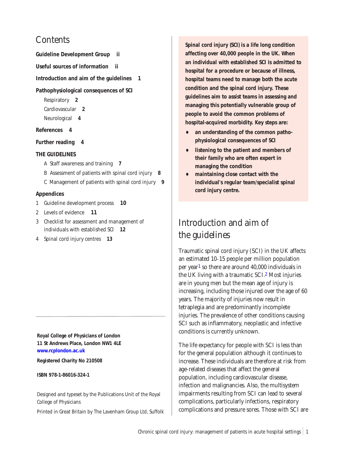## **Contents**

**Guideline Development Group ii**

**Useful sources of information ii**

**Introduction and aim of the guidelines 1**

**[Pathophysiological consequences of SCI](#page-3-0)**

Respiratory **2** Cardiovascular **2**

Neurological **4**

#### **References 4**

**[Further reading 4](#page-5-1)**

#### **THE GUIDELINES**

- [A Staff awareness and training](#page-8-0) **7**
- [B Assessment of patients with spinal cord injury](#page-9-0) **8**
- [C Management of patients with spinal cord injury](#page-10-0) **9**

#### **Appendices**

- [1 Guideline development process](#page-11-0) **10**
- [2 Levels of evidence](#page-12-0) **11**
- [3 Checklist for assessment and management of](#page-13-0)  individuals with established SCI **12**
- [4 Spinal cord injury centres](#page-14-0) **13**

**Royal College of Physicians of London 11 St Andrews Place, London NW1 4LE [www.rcplondon.ac.uk](http://www.rcplondon.ac.uk)**

**Registered Charity No 210508**

**ISBN 978-1-86016-324-1**

Designed and typeset by the Publications Unit of the Royal College of Physicians

Printed in Great Britain by The Lavenham Group Ltd, Suffolk

**Spinal cord injury (SCI) is a life long condition affecting over 40,000 people in the UK. When an individual with established SCI is admitted to hospital for a procedure or because of illness, hospital teams need to manage both the acute condition and the spinal cord injury. These guidelines aim to assist teams in assessing and managing this potentially vulnerable group of people to avoid the common problems of hospital-acquired morbidity. Key steps are:**

- **• an understanding of the common pathophysiological consequences of SCI**
- **• listening to the patient and members of their family who are often expert in managing the condition**
- **• maintaining close contact with the individual's regular team/specialist spinal cord injury centre.**

# Introduction and aim of the guidelines

Traumatic spinal cord injury (SCI) in the UK affects an estimated 10–15 people per million population per yea[r1](#page-5-0) so there are around 40,000 individuals in the UK living with a traumatic SC[I.2](#page-5-0) Most injuries are in young men but the mean age of injury is increasing, including those injured over the age of 60 years. The majority of injuries now result in tetraplegia and are predominantly incomplete injuries. The prevalence of other conditions causing SCI such as inflammatory, neoplastic and infective conditions is currently unknown.

The life expectancy for people with SCI is less than for the general population although it continues to increase. These individuals are therefore at risk from age-related diseases that affect the general population, including cardiovascular disease, infection and malignancies. Also, the multisystem impairments resulting from SCI can lead to several complications, particularly infections, respiratory complications and pressure sores. Those with SCI are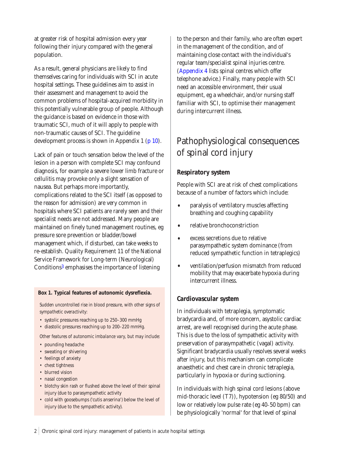<span id="page-3-1"></span><span id="page-3-0"></span>at greater risk of hospital admission every year following their injury compared with the general population.

As a result, general physicians are likely to find themselves caring for individuals with SCI in acute hospital settings. These guidelines aim to assist in their assessment and management to avoid the common problems of hospital-acquired morbidity in this potentially vulnerable group of people. Although the guidance is based on evidence in those with traumatic SCI, much of it will apply to people with non-traumatic causes of SCI. The guideline development process is shown in Appendix 1 [\(p 10\).](#page-11-1)

Lack of pain or touch sensation below the level of the lesion in a person with complete SCI may confound diagnosis, for example a severe lower limb fracture or cellulitis may provoke only a slight sensation of nausea. But perhaps more importantly, complications related to the SCI itself (as opposed to the reason for admission) are very common in hospitals where SCI patients are rarely seen and their specialist needs are not addressed. Many people are maintained on finely tuned management routines, eg pressure sore prevention or bladder/bowel management which, if disturbed, can take weeks to re-establish. Quality Requirement 11 of the National Service Framework for Long-term (Neurological) Condition[s3](#page-5-0) emphasises the importance of listening

#### **Box 1. Typical features of autonomic dysreflexia.**

*Sudden uncontrolled rise in blood pressure, with other signs of sympathetic overactivity:*

- systolic pressures reaching up to 250–300 mmHg
- diastolic pressures reaching up to 200–220 mmHg.

*Other features of autonomic imbalance vary, but may include:* 

- pounding headache
- sweating or shivering
- feelings of anxiety
- chest tightness
- blurred vision
- nasal congestion
- blotchy skin rash or flushed above the level of their spinal injury (due to parasympathetic activity
- cold with goosebumps ('cutis anserina') below the level of injury (due to the sympathetic activity).

to the person and their family, who are often expert in the management of the condition, and of maintaining close contact with the individual's regular team/specialist spinal injuries centre. [\(Appendix 4 l](#page-14-1)ists spinal centres which offer telephone advice.) Finally, many people with SCI need an accessible environment, their usual equipment, eg a wheelchair, and/or nursing staff familiar with SCI, to optimise their management during intercurrent illness.

# Pathophysiological consequences of spinal cord injury

### **Respiratory system**

People with SCI are at risk of chest complications because of a number of factors which include:

- paralysis of ventilatory muscles affecting breathing and coughing capability
- relative bronchoconstriction
- excess secretions due to relative parasympathetic system dominance (from reduced sympathetic function in tetraplegics)
- ventilation/perfusion mismatch from reduced mobility that may exacerbate hypoxia during intercurrent illness.

#### **Cardiovascular system**

In individuals with tetraplegia, symptomatic bradycardia and, of more concern, asystolic cardiac arrest, are well recognised during the acute phase. This is due to the loss of sympathetic activity with preservation of parasympathetic (vagal) activity. Significant bradycardia usually resolves several weeks after injury, but this mechanism can complicate anaesthetic and chest care in chronic tetraplegia, particularly in hypoxia or during suctioning.

In individuals with high spinal cord lesions (above mid-thoracic level (T7)), hypotension (eg 80/50) and low or relatively low pulse rate (eg 40–50 bpm) can be physiologically 'normal' for that level of spinal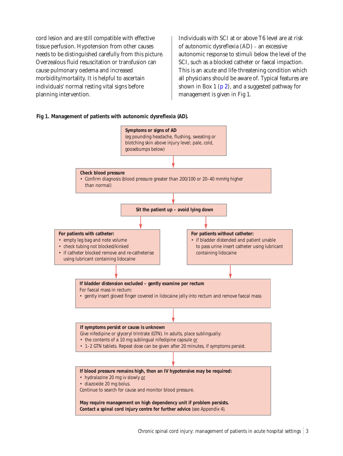<span id="page-4-0"></span>cord lesion and are still compatible with effective tissue perfusion. Hypotension from other causes needs to be distinguished carefully from this picture. Overzealous fluid resuscitation or transfusion can cause pulmonary oedema and increased morbidity/mortality. It is helpful to ascertain individuals' normal resting vital signs before planning intervention.

Individuals with SCI at or above T6 level are at risk of autonomic dysreflexia (AD) – an excessive autonomic response to stimuli below the level of the SCI, such as a blocked catheter or faecal impaction. This is an acute and life-threatening condition which all physicians should be aware of. Typical features are shown in Box 1 ( $p$  2), and a suggested pathway for management is given in Fig 1.

#### **Fig 1. Management of patients with autonomic dysreflexia (AD).**

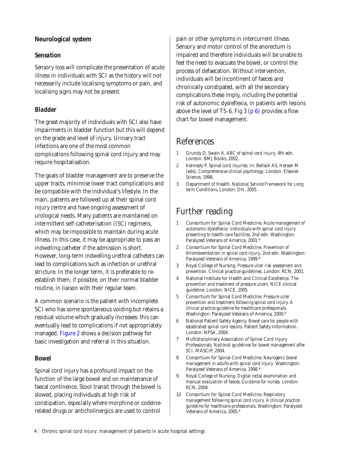### <span id="page-5-1"></span><span id="page-5-0"></span>**Neurological system**

### *Sensation*

Sensory loss will complicate the presentation of acute illness in individuals with SCI as the history will not necessarily include localising symptoms or pain, and localising signs may not be present.

### *Bladder*

The great majority of individuals with SCI also have impairments in bladder function but this will depend on the grade and level of injury. Urinary tract infections are one of the most common complications following spinal cord injury and may require hospitalisation.

The goals of bladder management are to preserve the upper tracts, minimise lower tract complications and be compatible with the individual's lifestyle. In the main, patients are followed up at their spinal cord injury centre and have ongoing assessment of urological needs. Many patients are maintained on intermittent self-catheterisation (ISC) regimens, which may be impossible to maintain during acute illness. In this case, it may be appropriate to pass an indwelling catheter if the admission is short. However, long-term indwelling urethral catheters can lead to complications such as infection or urethral stricture. In the longer term, it is preferable to reestablish them, if possible, on their normal bladder routine, in liaison with their regular team.

A common scenario is the patient with incomplete SCI who has some spontaneous voiding but retains a residual volume which gradually increases: this can eventually lead to complications if not appropriately managed[. Figure 2 s](#page-6-0)hows a decision pathway for basic investigation and referral in this situation.

### *Bowel*

Spinal cord injury has a profound impact on the function of the large bowel and on maintenance of faecal continence. Stool transit through the bowel is slowed, placing individuals at high risk of constipation, especially where morphine or codeinerelated drugs or anticholinergics are used to control

pain or other symptoms in intercurrent illness. Sensory and motor control of the anorectum is impaired and therefore individuals will be unable to feel the need to evacuate the bowel, or control the process of defaecation. Without intervention, individuals will be incontinent of faeces and chronically constipated, with all the secondary complications these imply, including the potential risk of autonomic dysreflexia, in patients with lesions above the level of T5–6. Fig 3  $(p 6)$  provides a flow chart for bowel management.

## References

- 1 Grundy D, Swain A. *ABC of spinal cord injury*, 4th edn. London: BMJ Books, 2002.
- 2 Kennedy P. Spinal cord injuries. In: Bellack AS, Hersen M (eds), *Comprehensive clinical psychology*. London: Elsevier Science, 1998.
- 3 Department of Health. *National Service Framework for Long term Conditions*. London: DH, 2005.

# Further reading

- 1 Consortium for Spinal Cord Medicine. *Acute management of autonomic dysreflexia: individuals with spinal cord injury presenting to health-care facilities*, 2nd edn. Washington: Paralyzed Veterans of America, 2001.\*
- 2 Consortium for Spinal Cord Medicine. *Prevention of thromboembolism in spinal cord injury*, 2nd edn. Washington: Paralyzed Veterans of America, 1999.\*
- 3 Royal College of Nursing. *Pressure ulcer risk assessment and prevention.* Clinical practice guidelines. London: RCN, 2001.
- 4 National Institute for Health and Clinical Excellence. *The prevention and treatment of pressure ulcers.* NICE clinical guideline. London: NICE, 2005
- 5 Consortium for Spinal Cord Medicine. *Pressure ulcer prevention and treatment following spinal cord injury. A clinical practice guideline for healthcare professionals*. Washington: Paralyzed Veterans of America, 2000.\*
- 6 National Patient Safety Agency. *Bowel care for people with established spinal cord lesions.* Patient Safety Information. London: NPSA, 2004.
- 7 Multidisciplinary Association of Spinal Cord Injury Professionals. *National guidelines for bowel management after SCI*. MASCIP, 2004.
- 8 Consortium for Spinal Cord Medicine. *Neurogenic bowel management in adults with spinal cord injury*. Washington: Paralyzed Veterans of America, 1998.\*
- 9 Royal College of Nursing. *Digital rectal examination and manual evacuation of faeces. Guidance for nurses*. London: RCN, 2004.
- 10 Consortium for Spinal Cord Medicine. *Respiratory management following spinal cord injury. A clinical practice guideline for healthcare professionals*. Washington: Paralyzed Veterans of America, 2005.\*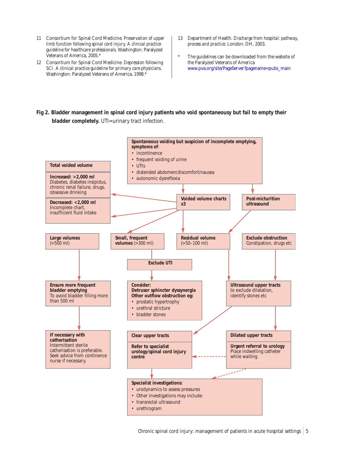- <span id="page-6-0"></span>11 Consortium for Spinal Cord Medicine. *Preservation of upper limb function following spinal cord injury. A clinical practice guideline for healthcare professionals*. Washington: Paralyzed Veterans of America, 2005.\*
- 12 Consortium for Spinal Cord Medicine. *Depression following SCI. A clinical practice guideline for primary care physicians*. Washington: Paralyzed Veterans of America, 1998.\*
- 13 Department of Health. *Discharge from hospital: pathway, process and practice*. London: DH, 2003.
- The guidelines can be downloaded from the website of the Paralyzed Veterans of America [www.pva.org/site/PageServer?pagename=pubs\\_main](http://www.pva.org/site/PageServer?pagename=pubs_main)
- **Fig 2. Bladder management in spinal cord injury patients who void spontaneousy but fail to empty their bladder completely.** UTI=urinary tract infection.

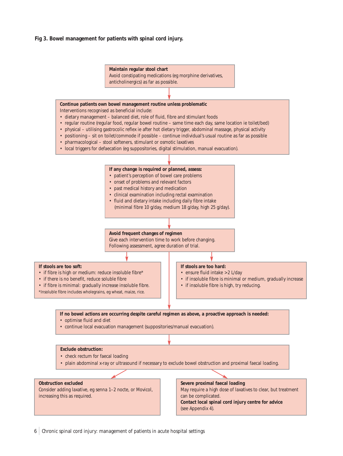#### <span id="page-7-0"></span>**Fig 3. Bowel management for patients with spinal cord injury.**



6 Chronic spinal cord injury: management of patients in acute hospital settings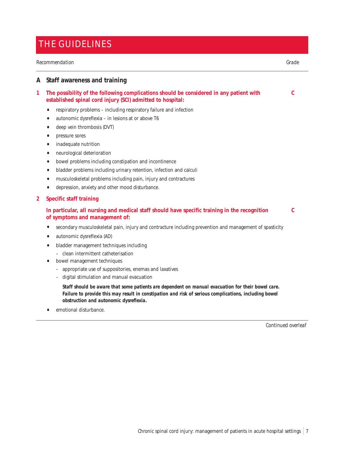### <span id="page-8-0"></span>THE GUIDELINES

#### $Recommendation$

#### **A Staff awareness and training**

| The possibility of the following complications should be considered in any patient with |  |
|-----------------------------------------------------------------------------------------|--|
| established spinal cord injury (SCI) admitted to hospital:                              |  |

- respiratory problems including respiratory failure and infection
- autonomic dysreflexia in lesions at or above T6
- deep vein thrombosis (DVT)
- pressure sores
- inadequate nutrition
- neurological deterioration
- bowel problems including constipation and incontinence
- bladder problems including urinary retention, infection and calculi
- musculoskeletal problems including pain, injury and contractures
- depression, anxiety and other mood disturbance.

#### **2 Specific staff training**

#### **In particular, all nursing and medical staff should have specific training in the recognition C of symptoms and management of:**

- 
- secondary musculoskeletal pain, injury and contracture including prevention and management of spasticity
- autonomic dysreflexia (AD)
- bladder management techniques including
- clean intermittent catheterisation
- bowel management techniques
	- appropriate use of suppositories, enemas and laxatives
	- digital stimulation and manual evacuation

*Staff should be aware that some patients are dependent on manual evacuation for their bowel care.*  Failure to provide this may result in constipation and risk of serious complications, including bowel *obstruction and autonomic dysreflexia.*

emotional disturbance.

*Continued overleaf*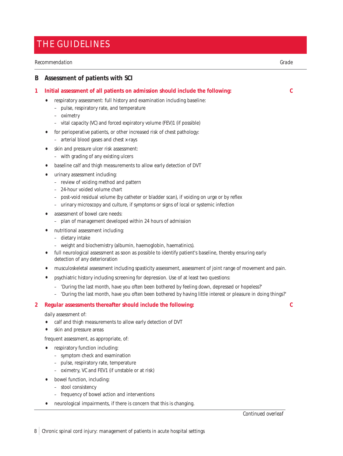### <span id="page-9-0"></span>THE GUIDELINES

#### *Recommendation Grade*

#### **B Assessment of patients with SCI**

#### **1 Initial assessment of all patients on admission should include the following: C**

- respiratory assessment: full history and examination including baseline:
	- pulse, respiratory rate, and temperature
	- oximetry
	- vital capacity (VC) and forced expiratory volume (FEV)1 (if possible)
- for perioperative patients, or other increased risk of chest pathology: – arterial blood gases and chest x-rays
- skin and pressure ulcer risk assessment:
	- with grading of any existing ulcers
- baseline calf and thigh measurements to allow early detection of DVT
- urinary assessment including:
	- review of voiding method and pattern
	- 24-hour voided volume chart
	- post-void residual volume (by catheter or bladder scan), if voiding on urge or by reflex
	- urinary microscopy and culture, if symptoms or signs of local or systemic infection
- assessment of bowel care needs:
	- plan of management developed within 24 hours of admission
- nutritional assessment including:
	- dietary intake
	- weight and biochemistry (albumin, haemoglobin, haematinics).
- full neurological assessment as soon as possible to identify patient's baseline, thereby ensuring early detection of any deterioration
- musculoskeletal assessment including spasticity assessment, assessment of joint range of movement and pain.
- psychiatric history including screening for depression. Use of at least two questions:
	- 'During the last month, have you often been bothered by feeling down, depressed or hopeless?'
	- 'During the last month, have you often been bothered by having little interest or pleasure in doing things?'

#### **2 Regular assessments thereafter should include the following: C**

daily assessment of:

- calf and thigh measurements to allow early detection of DVT
- skin and pressure areas

frequent assessment, as appropriate, of:

- respiratory function including:
	- symptom check and examination
	- pulse, respiratory rate, temperature
	- oximetry, VC and FEV1 (if unstable or at risk)
	- bowel function, including:
		- stool consistency
		- frequency of bowel action and interventions
- neurological impairments, if there is concern that this is changing.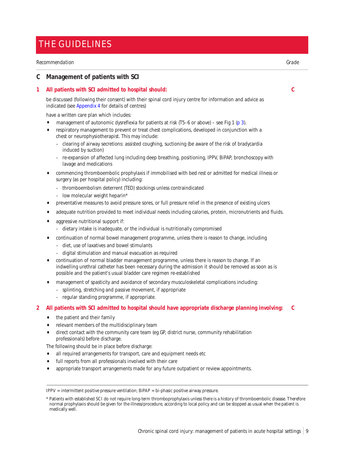### <span id="page-10-0"></span>THE GUIDELINES

#### *Recommendation Grade*

#### **C Management of patients with SCI**

#### **1 All patients with SCI admitted to hospital should: C**

be discussed (following their consent) with their spinal cord injury centre for information and advice as indicated (se[e Appendix 4 f](#page-14-0)or details of centres)

have a written care plan which includes:

- management of autonomic dysreflexia for patients at risk (T5–6 or above) see Fig 1 [\(p 3\).](#page-4-0)
- respiratory management to prevent or treat chest complications, developed in conjunction with a chest or neurophysiotherapist. This may include:
	- clearing of airway secretions: assisted coughing, suctioning (be aware of the risk of bradycardia induced by suction)
	- re-expansion of affected lung including deep breathing, positioning, IPPV, BiPAP, bronchoscopy with lavage and medications
- commencing thromboembolic prophylaxis if immobilised with bed rest or admitted for medical illness or surgery (as per hospital policy) including:
	- thromboembolism deterrent (TED) stockings unless contraindicated
	- $-$  low molecular weight heparin\*
- preventative measures to avoid pressure sores, or full pressure relief in the presence of existing ulcers
- adequate nutrition provided to meet individual needs including calories, protein, micronutrients and fluids.
- aggressive nutritional support if:
	- dietary intake is inadequate, or the individual is nutritionally compromised
- continuation of normal bowel management programme, unless there is reason to change, including
	- diet, use of laxatives and bowel stimulants
	- digital stimulation and manual evacuation as required
- continuation of normal bladder management programme, unless there is reason to change. If an indwelling urethral catheter has been necessary during the admission it should be removed as soon as is possible and the patient's usual bladder care regimen re-established
- management of spasticity and avoidance of secondary musculoskeletal complications including:
	- splinting, stretching and passive movement, if appropriate
	- regular standing programme, if appropriate.

#### **2 All patients with SCI admitted to hospital should have appropriate discharge planning involving: C**

- the patient and their family
- relevant members of the multidisciplinary team
- direct contact with the community care team (eg GP, district nurse, community rehabilitation professionals) before discharge.

The following should be in place before discharge:

- all required arrangements for transport, care and equipment needs etc
- full reports from all professionals involved with their care
- appropriate transport arrangements made for any future outpatient or review appointments.

IPPV = intermittent positive pressure ventilation; BiPAP = bi-phasic positive airway pressure.

<sup>\*</sup> Patients with established SCI do not require long-term thromboprophylaxis unless there is a history of thromboembolic disease. Therefore normal prophylaxis should be given for the illness/procedure, according to local policy and can be stopped as usual when the patient is medically well.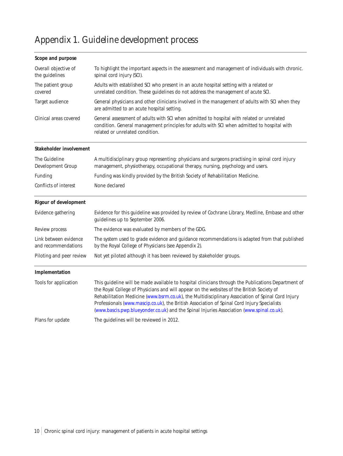# <span id="page-11-1"></span><span id="page-11-0"></span>Appendix 1. Guideline development process

| Scope and purpose                            |                                                                                                                                                                                                                                                                                                                                                                                                                                                                                                   |  |  |
|----------------------------------------------|---------------------------------------------------------------------------------------------------------------------------------------------------------------------------------------------------------------------------------------------------------------------------------------------------------------------------------------------------------------------------------------------------------------------------------------------------------------------------------------------------|--|--|
| Overall objective of<br>the guidelines       | To highlight the important aspects in the assessment and management of individuals with chronic.<br>spinal cord injury (SCI).                                                                                                                                                                                                                                                                                                                                                                     |  |  |
| The patient group<br>covered                 | Adults with established SCI who present in an acute hospital setting with a related or<br>unrelated condition. These guidelines do not address the management of acute SCI.                                                                                                                                                                                                                                                                                                                       |  |  |
| Target audience                              | General physicians and other clinicians involved in the management of adults with SCI when they<br>are admitted to an acute hospital setting.                                                                                                                                                                                                                                                                                                                                                     |  |  |
| Clinical areas covered                       | General assessment of adults with SCI when admitted to hospital with related or unrelated<br>condition. General management principles for adults with SCI when admitted to hospital with<br>related or unrelated condition.                                                                                                                                                                                                                                                                       |  |  |
| Stakeholder involvement                      |                                                                                                                                                                                                                                                                                                                                                                                                                                                                                                   |  |  |
| The Guideline<br>Development Group           | A multidisciplinary group representing: physicians and surgeons practising in spinal cord injury<br>management, physiotherapy, occupational therapy, nursing, psychology and users.                                                                                                                                                                                                                                                                                                               |  |  |
| Funding                                      | Funding was kindly provided by the British Society of Rehabilitation Medicine.                                                                                                                                                                                                                                                                                                                                                                                                                    |  |  |
| Conflicts of interest                        | None declared                                                                                                                                                                                                                                                                                                                                                                                                                                                                                     |  |  |
| <b>Rigour of development</b>                 |                                                                                                                                                                                                                                                                                                                                                                                                                                                                                                   |  |  |
| Evidence gathering                           | Evidence for this guideline was provided by review of Cochrane Library, Medline, Embase and other<br>guidelines up to September 2006.                                                                                                                                                                                                                                                                                                                                                             |  |  |
| Review process                               | The evidence was evaluated by members of the GDG.                                                                                                                                                                                                                                                                                                                                                                                                                                                 |  |  |
| Link between evidence<br>and recommendations | The system used to grade evidence and guidance recommendations is adapted from that published<br>by the Royal College of Physicians (see Appendix 2).                                                                                                                                                                                                                                                                                                                                             |  |  |
| Piloting and peer review                     | Not yet piloted although it has been reviewed by stakeholder groups.                                                                                                                                                                                                                                                                                                                                                                                                                              |  |  |
| Implementation                               |                                                                                                                                                                                                                                                                                                                                                                                                                                                                                                   |  |  |
| Tools for application                        | This guideline will be made available to hospital clinicians through the Publications Department of<br>the Royal College of Physicians and will appear on the websites of the British Society of<br>Rehabilitation Medicine (www.bsrm.co.uk), the Multidisciplinary Association of Spinal Cord Injury<br>Professionals (www.mascip.co.uk), the British Association of Spinal Cord Injury Specialists<br>(www.bascis.pwp.blueyonder.co.uk) and the Spinal Injuries Association (www.spinal.co.uk). |  |  |
| Plans for update                             | The guidelines will be reviewed in 2012.                                                                                                                                                                                                                                                                                                                                                                                                                                                          |  |  |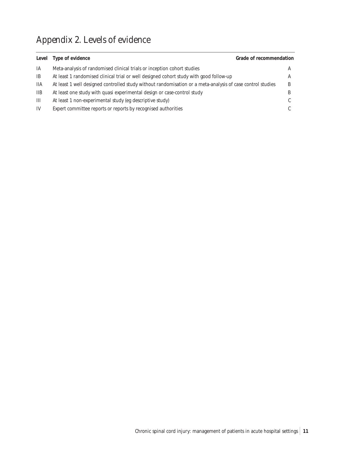# <span id="page-12-0"></span>Appendix 2. Levels of evidence

| Level          | Type of evidence                                                                                           | <b>Grade of recommendation</b> |   |
|----------------|------------------------------------------------------------------------------------------------------------|--------------------------------|---|
| IA             | Meta-analysis of randomised clinical trials or inception cohort studies                                    |                                | A |
| <b>IB</b>      | At least 1 randomised clinical trial or well designed cohort study with good follow-up                     |                                |   |
| 11A            | At least 1 well designed controlled study without randomisation or a meta-analysis of case control studies |                                | B |
| 11B            | At least one study with quasi experimental design or case-control study                                    |                                | B |
| $\mathbf{III}$ | At least 1 non-experimental study (eg descriptive study)                                                   |                                |   |
| IV             | Expert committee reports or reports by recognised authorities                                              |                                |   |
|                |                                                                                                            |                                |   |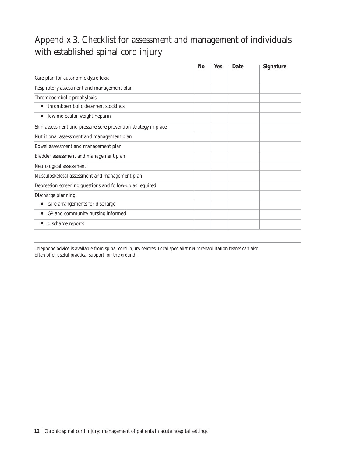# <span id="page-13-0"></span>Appendix 3. Checklist for assessment and management of individuals with established spinal cord injury

|                                                                | No | Yes | Date | Signature |
|----------------------------------------------------------------|----|-----|------|-----------|
| Care plan for autonomic dysreflexia                            |    |     |      |           |
| Respiratory assessment and management plan                     |    |     |      |           |
| Thromboembolic prophylaxis:                                    |    |     |      |           |
| thromboembolic deterrent stockings                             |    |     |      |           |
| low molecular weight heparin<br>$\bullet$                      |    |     |      |           |
| Skin assessment and pressure sore prevention strategy in place |    |     |      |           |
| Nutritional assessment and management plan                     |    |     |      |           |
| Bowel assessment and management plan                           |    |     |      |           |
| Bladder assessment and management plan                         |    |     |      |           |
| Neurological assessment                                        |    |     |      |           |
| Musculoskeletal assessment and management plan                 |    |     |      |           |
| Depression screening questions and follow-up as required       |    |     |      |           |
| Discharge planning:                                            |    |     |      |           |
| care arrangements for discharge                                |    |     |      |           |
| GP and community nursing informed                              |    |     |      |           |
| discharge reports                                              |    |     |      |           |

Telephone advice is available from spinal cord injury centres. Local specialist neurorehabilitation teams can also often offer useful practical support 'on the ground'.